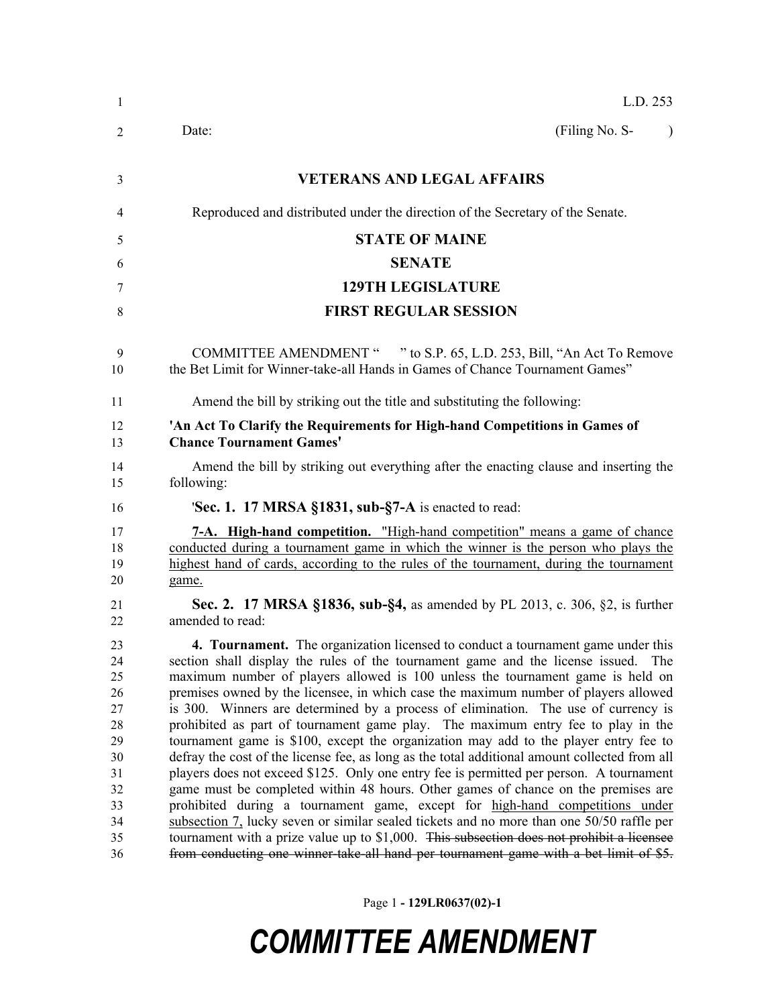| -1                                                                               | L.D. 253                                                                                                                                                                                                                                                                                                                                                                                                                                                                                                                                                                                                                                                                                                                                                                                                                                                                                                                                                                                                                                                                                                                                                                                                                                                                     |
|----------------------------------------------------------------------------------|------------------------------------------------------------------------------------------------------------------------------------------------------------------------------------------------------------------------------------------------------------------------------------------------------------------------------------------------------------------------------------------------------------------------------------------------------------------------------------------------------------------------------------------------------------------------------------------------------------------------------------------------------------------------------------------------------------------------------------------------------------------------------------------------------------------------------------------------------------------------------------------------------------------------------------------------------------------------------------------------------------------------------------------------------------------------------------------------------------------------------------------------------------------------------------------------------------------------------------------------------------------------------|
| 2                                                                                | (Filing No. S-<br>Date:<br>$\lambda$                                                                                                                                                                                                                                                                                                                                                                                                                                                                                                                                                                                                                                                                                                                                                                                                                                                                                                                                                                                                                                                                                                                                                                                                                                         |
| 3                                                                                | <b>VETERANS AND LEGAL AFFAIRS</b>                                                                                                                                                                                                                                                                                                                                                                                                                                                                                                                                                                                                                                                                                                                                                                                                                                                                                                                                                                                                                                                                                                                                                                                                                                            |
| 4                                                                                | Reproduced and distributed under the direction of the Secretary of the Senate.                                                                                                                                                                                                                                                                                                                                                                                                                                                                                                                                                                                                                                                                                                                                                                                                                                                                                                                                                                                                                                                                                                                                                                                               |
| 5                                                                                | <b>STATE OF MAINE</b>                                                                                                                                                                                                                                                                                                                                                                                                                                                                                                                                                                                                                                                                                                                                                                                                                                                                                                                                                                                                                                                                                                                                                                                                                                                        |
| 6                                                                                | <b>SENATE</b>                                                                                                                                                                                                                                                                                                                                                                                                                                                                                                                                                                                                                                                                                                                                                                                                                                                                                                                                                                                                                                                                                                                                                                                                                                                                |
| 7                                                                                | <b>129TH LEGISLATURE</b>                                                                                                                                                                                                                                                                                                                                                                                                                                                                                                                                                                                                                                                                                                                                                                                                                                                                                                                                                                                                                                                                                                                                                                                                                                                     |
| 8                                                                                | <b>FIRST REGULAR SESSION</b>                                                                                                                                                                                                                                                                                                                                                                                                                                                                                                                                                                                                                                                                                                                                                                                                                                                                                                                                                                                                                                                                                                                                                                                                                                                 |
| 9<br>10                                                                          | COMMITTEE AMENDMENT " " to S.P. 65, L.D. 253, Bill, "An Act To Remove<br>the Bet Limit for Winner-take-all Hands in Games of Chance Tournament Games"                                                                                                                                                                                                                                                                                                                                                                                                                                                                                                                                                                                                                                                                                                                                                                                                                                                                                                                                                                                                                                                                                                                        |
| 11                                                                               | Amend the bill by striking out the title and substituting the following:                                                                                                                                                                                                                                                                                                                                                                                                                                                                                                                                                                                                                                                                                                                                                                                                                                                                                                                                                                                                                                                                                                                                                                                                     |
| 12<br>13                                                                         | 'An Act To Clarify the Requirements for High-hand Competitions in Games of<br><b>Chance Tournament Games'</b>                                                                                                                                                                                                                                                                                                                                                                                                                                                                                                                                                                                                                                                                                                                                                                                                                                                                                                                                                                                                                                                                                                                                                                |
| 14<br>15                                                                         | Amend the bill by striking out everything after the enacting clause and inserting the<br>following:                                                                                                                                                                                                                                                                                                                                                                                                                                                                                                                                                                                                                                                                                                                                                                                                                                                                                                                                                                                                                                                                                                                                                                          |
| 16                                                                               | <b>Sec. 1.</b> 17 MRSA §1831, sub-§7-A is enacted to read:                                                                                                                                                                                                                                                                                                                                                                                                                                                                                                                                                                                                                                                                                                                                                                                                                                                                                                                                                                                                                                                                                                                                                                                                                   |
| 17<br>18<br>19<br>20                                                             | 7-A. High-hand competition. "High-hand competition" means a game of chance<br>conducted during a tournament game in which the winner is the person who plays the<br>highest hand of cards, according to the rules of the tournament, during the tournament<br>game.                                                                                                                                                                                                                                                                                                                                                                                                                                                                                                                                                                                                                                                                                                                                                                                                                                                                                                                                                                                                          |
| 21<br>22                                                                         | <b>Sec. 2.</b> 17 MRSA §1836, sub-§4, as amended by PL 2013, c. 306, §2, is further<br>amended to read:                                                                                                                                                                                                                                                                                                                                                                                                                                                                                                                                                                                                                                                                                                                                                                                                                                                                                                                                                                                                                                                                                                                                                                      |
| 23<br>24<br>25<br>26<br>27<br>28<br>29<br>30<br>31<br>32<br>33<br>34<br>35<br>36 | <b>4. Tournament.</b> The organization licensed to conduct a tournament game under this<br>section shall display the rules of the tournament game and the license issued. The<br>maximum number of players allowed is 100 unless the tournament game is held on<br>premises owned by the licensee, in which case the maximum number of players allowed<br>is 300. Winners are determined by a process of elimination. The use of currency is<br>prohibited as part of tournament game play. The maximum entry fee to play in the<br>tournament game is \$100, except the organization may add to the player entry fee to<br>defray the cost of the license fee, as long as the total additional amount collected from all<br>players does not exceed \$125. Only one entry fee is permitted per person. A tournament<br>game must be completed within 48 hours. Other games of chance on the premises are<br>prohibited during a tournament game, except for high-hand competitions under<br>subsection 7, lucky seven or similar sealed tickets and no more than one 50/50 raffle per<br>tournament with a prize value up to \$1,000. This subsection does not prohibit a licensee<br>from conducting one winner-take-all hand per tournament game with a bet limit of \$5. |

Page 1 **- 129LR0637(02)-1**

## *COMMITTEE AMENDMENT*